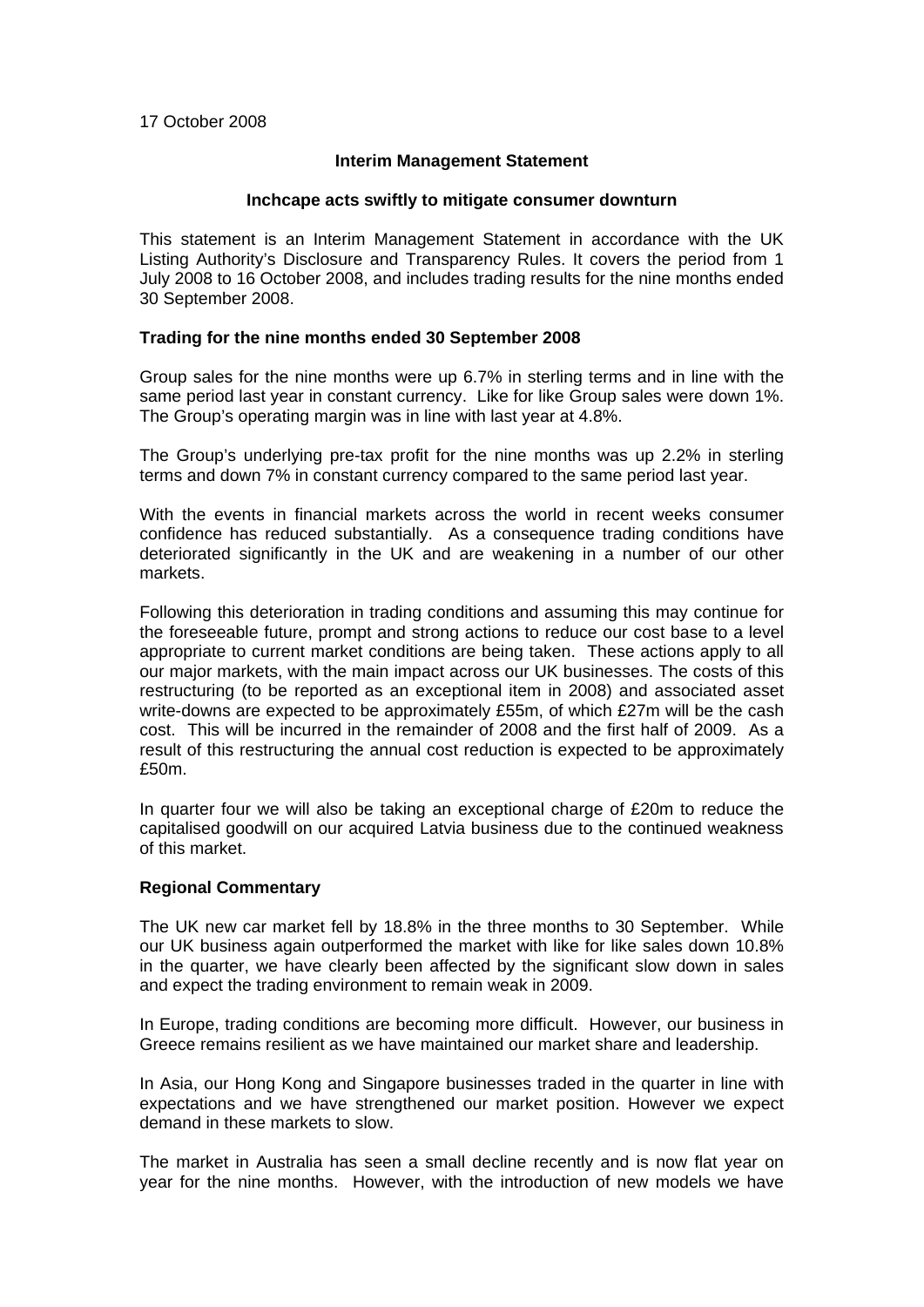#### 17 October 2008

# **Interim Management Statement**

#### **Inchcape acts swiftly to mitigate consumer downturn**

This statement is an Interim Management Statement in accordance with the UK Listing Authority's Disclosure and Transparency Rules. It covers the period from 1 July 2008 to 16 October 2008, and includes trading results for the nine months ended 30 September 2008.

# **Trading for the nine months ended 30 September 2008**

Group sales for the nine months were up 6.7% in sterling terms and in line with the same period last year in constant currency. Like for like Group sales were down 1%. The Group's operating margin was in line with last year at 4.8%.

The Group's underlying pre-tax profit for the nine months was up 2.2% in sterling terms and down 7% in constant currency compared to the same period last year.

With the events in financial markets across the world in recent weeks consumer confidence has reduced substantially. As a consequence trading conditions have deteriorated significantly in the UK and are weakening in a number of our other markets.

Following this deterioration in trading conditions and assuming this may continue for the foreseeable future, prompt and strong actions to reduce our cost base to a level appropriate to current market conditions are being taken. These actions apply to all our major markets, with the main impact across our UK businesses. The costs of this restructuring (to be reported as an exceptional item in 2008) and associated asset write-downs are expected to be approximately £55m, of which £27m will be the cash cost. This will be incurred in the remainder of 2008 and the first half of 2009. As a result of this restructuring the annual cost reduction is expected to be approximately £50m.

In quarter four we will also be taking an exceptional charge of £20m to reduce the capitalised goodwill on our acquired Latvia business due to the continued weakness of this market.

#### **Regional Commentary**

The UK new car market fell by 18.8% in the three months to 30 September. While our UK business again outperformed the market with like for like sales down 10.8% in the quarter, we have clearly been affected by the significant slow down in sales and expect the trading environment to remain weak in 2009.

In Europe, trading conditions are becoming more difficult. However, our business in Greece remains resilient as we have maintained our market share and leadership.

In Asia, our Hong Kong and Singapore businesses traded in the quarter in line with expectations and we have strengthened our market position. However we expect demand in these markets to slow.

The market in Australia has seen a small decline recently and is now flat year on year for the nine months. However, with the introduction of new models we have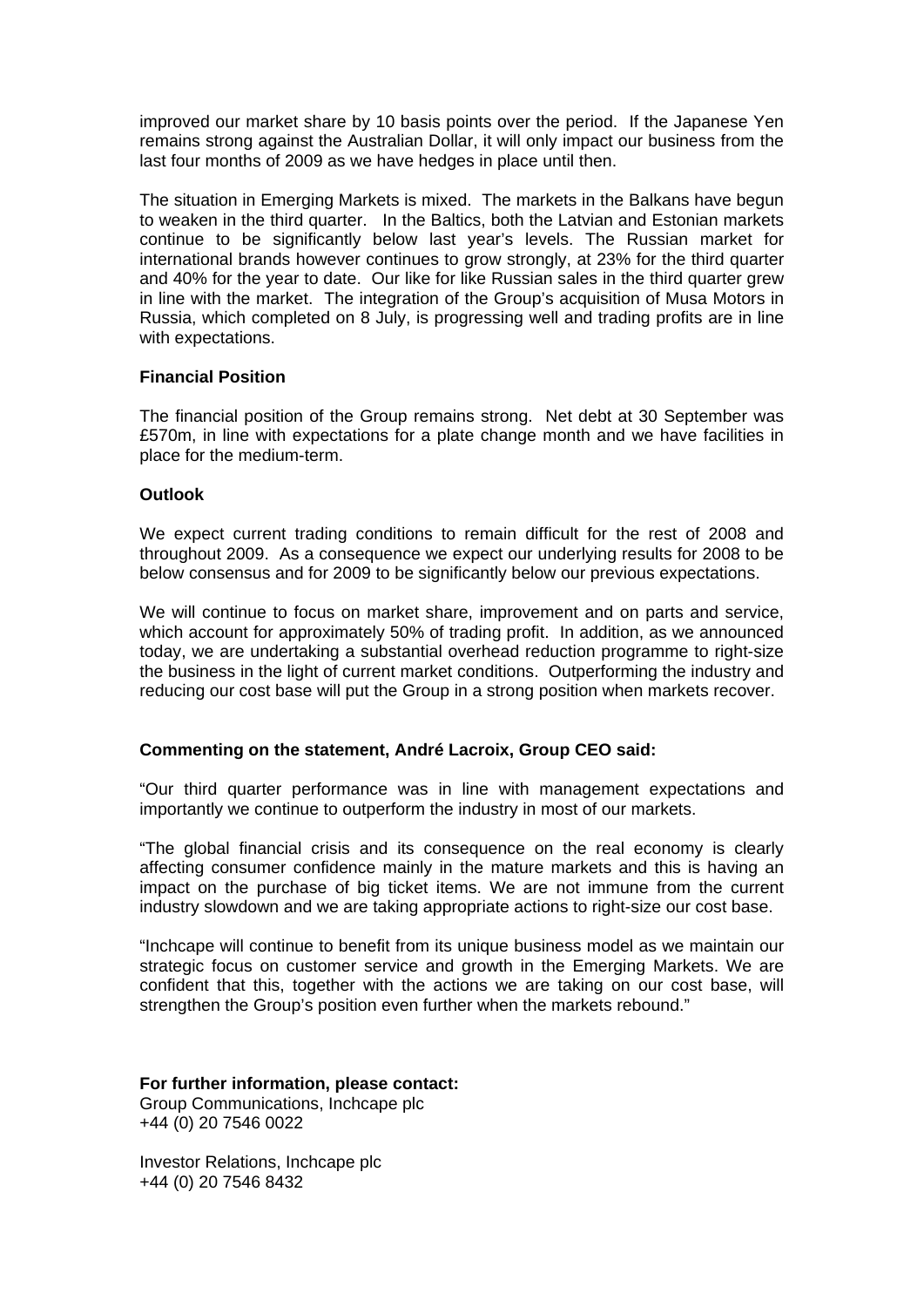improved our market share by 10 basis points over the period. If the Japanese Yen remains strong against the Australian Dollar, it will only impact our business from the last four months of 2009 as we have hedges in place until then.

The situation in Emerging Markets is mixed. The markets in the Balkans have begun to weaken in the third quarter. In the Baltics, both the Latvian and Estonian markets continue to be significantly below last year's levels. The Russian market for international brands however continues to grow strongly, at 23% for the third quarter and 40% for the year to date. Our like for like Russian sales in the third quarter grew in line with the market. The integration of the Group's acquisition of Musa Motors in Russia, which completed on 8 July, is progressing well and trading profits are in line with expectations.

# **Financial Position**

The financial position of the Group remains strong. Net debt at 30 September was £570m, in line with expectations for a plate change month and we have facilities in place for the medium-term.

# **Outlook**

We expect current trading conditions to remain difficult for the rest of 2008 and throughout 2009. As a consequence we expect our underlying results for 2008 to be below consensus and for 2009 to be significantly below our previous expectations.

We will continue to focus on market share, improvement and on parts and service, which account for approximately 50% of trading profit. In addition, as we announced today, we are undertaking a substantial overhead reduction programme to right-size the business in the light of current market conditions. Outperforming the industry and reducing our cost base will put the Group in a strong position when markets recover.

# **Commenting on the statement, André Lacroix, Group CEO said:**

"Our third quarter performance was in line with management expectations and importantly we continue to outperform the industry in most of our markets.

"The global financial crisis and its consequence on the real economy is clearly affecting consumer confidence mainly in the mature markets and this is having an impact on the purchase of big ticket items. We are not immune from the current industry slowdown and we are taking appropriate actions to right-size our cost base.

"Inchcape will continue to benefit from its unique business model as we maintain our strategic focus on customer service and growth in the Emerging Markets. We are confident that this, together with the actions we are taking on our cost base, will strengthen the Group's position even further when the markets rebound."

#### **For further information, please contact:**  Group Communications, Inchcape plc +44 (0) 20 7546 0022

Investor Relations, Inchcape plc +44 (0) 20 7546 8432